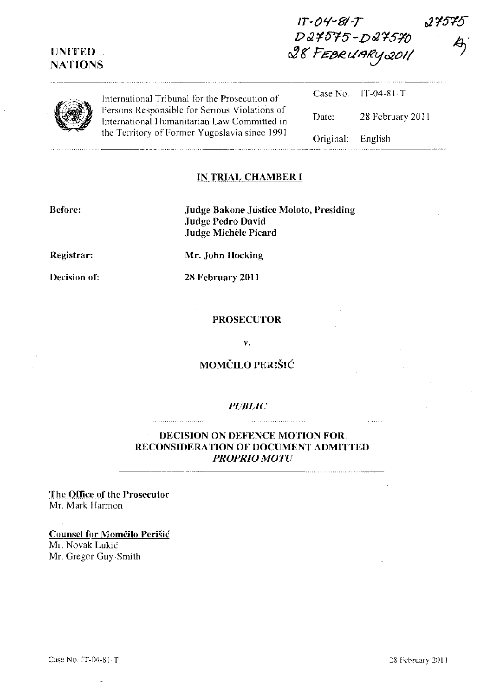# UNITED NATIONS

IT-O'l-B1-T *D 02* ¥ *015 -Dot* ~5!/() c!J g' Fe-eR. u *t19'f!j 0201/* 

. . . . . . . . . . . . . .



. . . . . . . . . . .

| (B) | International Tribunal for the Prosecution of<br>Persons Responsible for Serious Violations of<br>International Humanitarian Law Committed in<br>the Territory of Former Yugoslavia since 1991 |                   | Case No. $[T-04-81-T]$ |
|-----|------------------------------------------------------------------------------------------------------------------------------------------------------------------------------------------------|-------------------|------------------------|
|     |                                                                                                                                                                                                | Date:             | 28 February 2011       |
|     |                                                                                                                                                                                                | Original: English |                        |

### IN TRIAL CHAMBER I

Before:

Judge Bakone Justice Moloto, Presiding Judge Pedro David Judge Michele Picard

Registrar:

Decision of:

Mr. John Hocking

28 February 2011

PROSECUTOR

v.

# MOMČILO PERIŠIĆ

#### *PUBLIC*

#### DECISION ON DEFENCE MOTION FOR RECONSIDERATION OF DOCUMENT ADMITTED *PROPRIO MOTU*

The Office of the Prosecutor Mr. Mark Harmon

Counsel for Momčilo Perišić Mr. Novak Lukic

Mr. Gregor Guy-Smith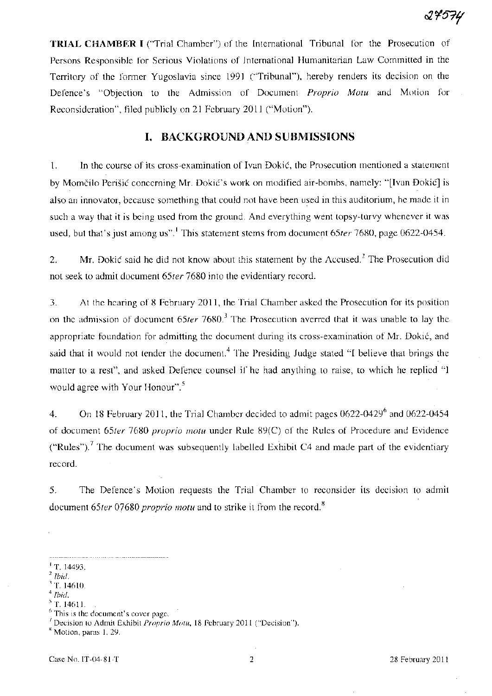TRIAL CHAMBER I ("Trial Chamber") of the International Tribunal for the Prosecution of Persons Responsible for Serious Violations of International Humanitarian Law Committed in the Territory of the former Yugoslavia since 1991 ("Tribunal"), hereby renders its decision on the Defence's "Objection to the Admission of Document *Proprio Motu* and Motion .for Reconsideration", filed publicly on 21 February 2011 ("Motion").

### I. BACKGROUND AND SUBMISSIONS

1. In the course of its cross-examination of Ivan Dokic, the Prosecution mentioned a statement by Momcilo Perisic concerning Mr. Dokic's work on modified air-bombs, namely: "[Ivan Dokic] is also an innovator, because something that could not have been used in this auditorium, he made it in such a way that it is being used from the ground. And everything went topsy-turvy whenever it was used, but that's just among us".' This statement stems from document *65ter* 7680, page 0622-0454.

2. Mr. Dokić said he did not know about this statement by the Accused.<sup>2</sup> The Prosecution did not seek to admit document *65ter* 7680 into the evidentiary record.

3. At the hearing of 8 February 2011, the Trial Chamber asked the Prosecution for its position on the admission of document 65ter 7680.<sup>3</sup> The Prosecution averred that it was unable to lay the appropriate foundation for admitting the document during its cross-examination of Mr. Dokic, and said that it would not tender the document.<sup>4</sup> The Presiding Judge stated "I believe that brings the matter to a rest", and asked Defence counsel if he had anything to raise, to which he replied "I would agree with Your Honour".<sup>5</sup>

4. On 18 February 2011, the Trial Chamber decided to admit pages 0622-0429<sup>6</sup> and 0622-0454 of document *65ter* 7680 *proprio motu* under Rule 89(C) of the Rules of Procedure and Evidence ("Rules").<sup>7</sup> The document was subsequently labelled Exhibit C4 and made part of the evidentiary record.

5. The Defence's Motion requests the Trial· Chamber to reconsider its decision to admit document *65ter* 07680 *proprio motu* and to strike it from the record. <sup>8</sup>

5 T. 1461l.

<sup>8</sup> Motion, paras 1, 29.

<sup>&</sup>lt;sup>1</sup> T. 14493.

*<sup>2</sup> lhid.* 

<sup>&#</sup>x27;T.1461O.

*<sup>4</sup> lhid.* 

 $<sup>6</sup>$  This is the document's cover page.</sup>

<sup>7</sup>Decision to Admit Exhibit *Proprio Motu,* 18 February 2011 ("Decision").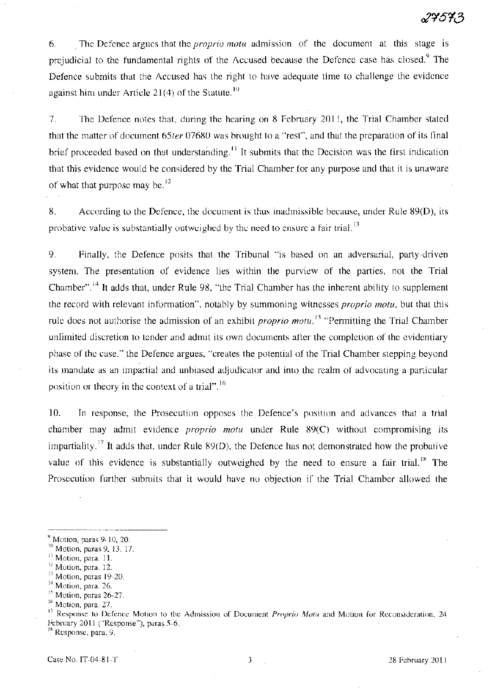6. . The Defence argues that the *proprio motu* admission of the document at this stage is prejudicial to the fundamental rights of the Accused because the Defence case has closed.<sup>9</sup> The Defence submits that the Accused has the right to have adequate time to challenge the evidence against him under Article 21(4) of the Statute.<sup>10</sup>

7. The Defence notes that, during the hearing on 8 February 2011, the Trial Chamber stated that the matter of document *65ter* 07680 was brought to a "rest", and that the preparation of its final brief proceeded based on that understanding.<sup>11</sup> It submits that the Decision was the first indication that this evidence would be considered by the Trial Chamber for any purpose and that it is unaware of what that purpose may be. $^{12}$ 

8. According to the Defence, the document is thus inadmissible because, under Rule 89(D), its probative value is substantially outweighed by the need to ensure a fair trial.<sup>13</sup>

9. Finally, the Defence posits that the Tribunal "is based on an adversarial, party-driven system. The presentation of evidence lies within the purview of the parties, not the Trial Chamber". 14 It adds that, under Rule 98, "the Trial Chamber has the inherent ability to supplement the record with relevant information", notably by summoning witnesses *proprio motu,* but that this rule does not authorise the admission of an exhibit *proprio motu*.<sup>15</sup> "Permitting the Trial Chamber" unlimited discretion to tender and admit its own documents after the completion of the evidentiary phase of the case," the Defence argues, "creates the potential of the Trial Chamber stepping beyond its mandate as an impartial and unbiased adjudicator and into the realm of advocating a particular position or theory in the context of a trial". <sup>16</sup>

10. In response, the Prosecution opposes the Defence's position and advances that a trial chamber may admit evidence *proprio motu* under Rule 89(C) without compromising its impartiality.<sup>17</sup> It adds that, under Rule 89(D), the Defence has not demonstrated how the probative value of this evidence is substantially outweighed by the need to ensure a fair trial.<sup>18</sup> The Prosecution further submits that it would have no objection if the Trial Chamber allowed the

<sup>18</sup> Response, para. 9.

 $<sup>9</sup>$  Motion, paras 9-10, 20.</sup>

<sup>&</sup>lt;sup>10</sup> Motion, paras 9, 13, 17.

<sup>&</sup>lt;sup>11</sup> Motion, para. 11.

<sup>&</sup>lt;sup>12</sup> Motion, para. 12.

I} Motion, paras 19-20.

<sup>&</sup>lt;sup>14</sup> Motion, para. 26.

<sup>&</sup>lt;sup>15</sup> Motion, paras 26-27.

<sup>&</sup>lt;sup>16</sup> Motion, para. 27.

<sup>17</sup>Response to Defence Motion to the Admission of Document *Proprio Motu* and Motion for Reconsideration, 24 February 2011 ("Response"), paras 5-6.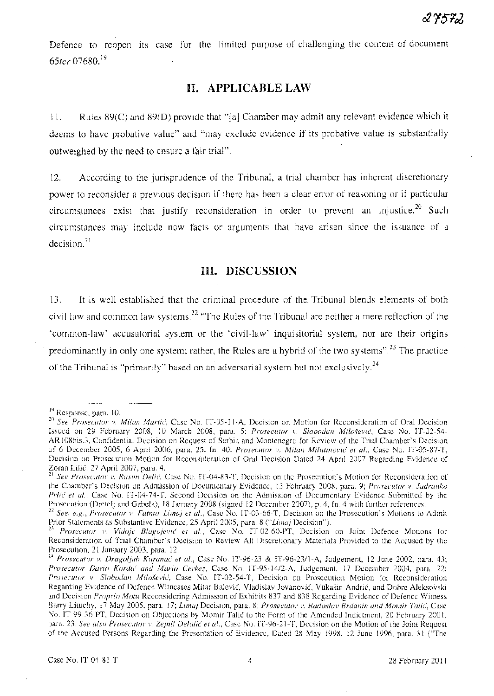Defence to reopen its case for the limited purpose of challenging the content of document *65ter 07680.* <sup>19</sup>

## **H. APPLICABLE LAW**

11. Rules 89(C) and 89(D) provide that "[a] Chamber may admit any relevant evidence which it deems to have probative value" and "may exclude evidence if its probative value is substantially outweighed by the need to ensure a fair trial".

12. According to the jurisprudence of the Tribunal, a trial chamber has inherent discretionary power to reconsider a previous decision if there has been a clear error of reasoning or if particular circumstances exist that justify reconsideration in order to prevent an injustice.<sup>20</sup> Such circumstances may include new facts or arguments that have arisen since the issuance of a decision. <sup>21</sup>

#### **HI. DISCUSSION**

13. **It** is well established that the criminal procedure of the. Tribunal blends elements of both civil law and common law systems.<sup>22</sup> "The Rules of the Tribunal are neither a mere reflection of the 'common-law' accusatorial system or the 'civil-law' inquisitorial system, nor are their origins predominantly in only one system; rather, the Rules are a hybrid of the two systems".<sup>23</sup> The practice of the Tribunal is "primarily" based on an adversarial system but not exclusively.<sup>24</sup>

<sup>&</sup>lt;sup>19</sup> Response, para. 10.

*<sup>20</sup> See Prosecutor v. Milan Martic(,* Case No. IT-95-11-A, Decision on Motion for Reconsideration of Oral Decision Issued on 29 February 2008, 10 March 2008, para. 5; *Prosecutor v. Slohodan Milo.fevic,* Case No. IT-02-54- ARI08bis.3, Confidential Decision on Request of Serbia and Montenegro for Review of the Trial Chamber's Decision of 6 December 2005, 6 April 2006, para. 25, fn. 40; *Prosecutor v. Milan Milutinovic et al.,* Case No. IT-05-87-T, Decision on Prosecution Motion fot Reconsideration of Oral Decision Dated 24 April 2007 Regarding Evidence of Zoran Lilic, 27 April 2007, para. 4.

<sup>21</sup>*See Prosecutor v. Rasim Delic',* Case No. IT-04-83-T, Decision on the Prosecution's Motion for Reconsideration of the Chamber's Decision on Admission of Documentary Evidcnce, 13 February 2008, para. 9; *Prosecutor v. Jadranko Prlic( et al.,* Case No. IT-04-74-T, Second Decision on the Admission of Documentary Evidence Submitted by the Prosecution (Dretelj and Gabela), 18 January 2008 (signed 12 December 2007), p. 4, fn. 4 with further references.

<sup>&</sup>lt;sup>22</sup> See, e.g., Prosecutor v. Fatmir Limaj et al., Case No. IT-03-66-T, Decision on the Prosecution's Motions to Admit Prior Statements as Substantive Evidence, 25 April 2005, para. 8 *("Limaj Decision")*.

<sup>&</sup>lt;sup>23</sup> Prosecutor v. Vidoje Blagojević et al., Case No. IT-02-60-PT, Decision on Joint Defence Motions for Reconsideration of Trial Chamber's Decision to Review All Discretionary Materials Provided to the Accused by the Prosecution, 21 January 2003, para. 12.

<sup>&</sup>lt;sup>24</sup> Prosecutor v. Dragoljub Kuranać et al., Case No. IT-96-23 & IT-96-23/l-A, Judgement, 12 June 2002, para. 43; *Prosecutor Dario Kordic and Mario Cerkez,* Case No. IT-95-14!2-A, Judgement, 17 December 2004, para. 22; *Prosecutor v. Slohodan Milošević*, Case No. IT-02-54-T, Decision on Prosecution Motion for Reconsideration Regarding Evidence of Defence Witnesses Mitar Balević, Vladislav Jovanović, Vukašin Andrić, and Dobre Aleksovski and Decision *Proprio Motu* Reconsidering Admission of Exhibits 837 and 838 Regarding Evidence of Defence Witness Barry Lituchy, 17 May 2005, para. 17; *Limaj* Decision, para. 8; *Prosecutor v. Radoslav Brdanin and Momir Talić*, Case No. IT-99-36-PT, Decision on Objections by Momir Talic to the Form of the Amended Indictment, 20 February 2001, para. 23. See also Prosecutor v. Zejnil Delalic et al., Case No. IT-96-21-T, Decision on the Motion of the Joint Request of the Accused Persons Regarding the Presentation of Evidence, Dated 28 May 1998, 12 June 1996, para. 31 ("The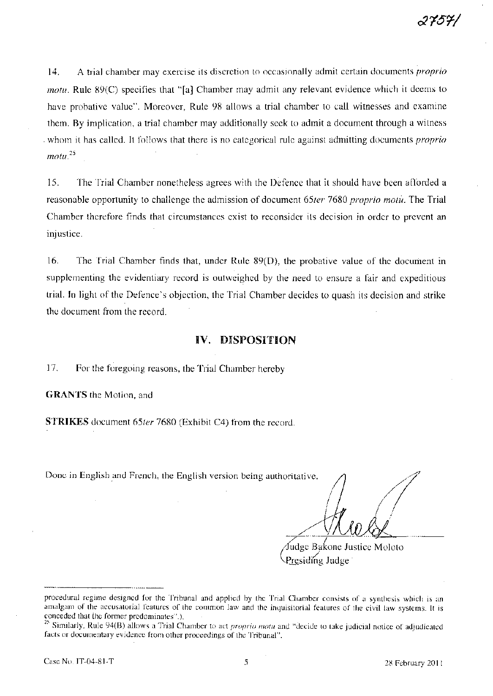14. A trial chamber may exercise its discretion to occasionally admit certain documents *proprio motu.* Rule 89(C) specifies that "[a] Chamber may admit any relevant evidence which it deems to have probative value". Moreover, Rule 98 allows a trial chamber to call witnesses and examine them. By implication, a trial chamber may additionally seek to admit a document through a witness -whom it has called. It follows that there is no categorical rule against admitting documents *proprio motu.* <sup>25</sup>

15. The Trial Chamber nonetheless agrees with the Defence that it should have been afforded a reasonable opportunity to challenge the admission of document *65ter* 7680 *proprio motu.* The Trial Chamber therefore finds that circumstances exist to reconsider its decision in order to prevent an injustice.

16. The Trial Chamber finds that, under Rule 89(D), the probative value of the document in supplementing the evidentiary record is outweighed by the need to ensure a fair and expeditious trial. In light of the Defence's objection, the Trial Chamber decides to quash its decision and strike the document from the record.

#### **IV. DISPOSITION**

17. For the foregoing reasons, the Trial Chamber hereby

**GRANTS** the Motion, and

STRIKES document *65ter* 7680 (Exhibit C4) from the record.

Done in English and French, the English version being authoritative.

//<br>*M*<br>*Mooc Bakope II* 

Gudge Bakone Just<br>Presiding Judge Judge Bakone Justice Moloto

procedural regime designed for the Tribunal and applied by the Trial Chamber consists of a synthesis which is an amalgam of the accusatorial features of the common law and the inquisitorial features of the civil law systems. It is conceded that the former predominates".).

<sup>25</sup> Similarly, Rule 94(B) allows a Trial Chamber to act *proprio motu* and "decide to take judicial notice of adjudicated facts or documentary evidence from other proceedings of the Tribunal".